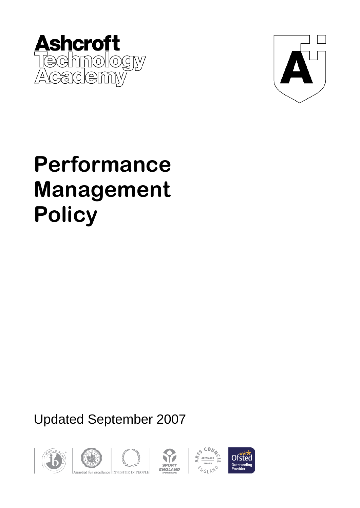



# **Performance Management Policy**

# Updated September 2007









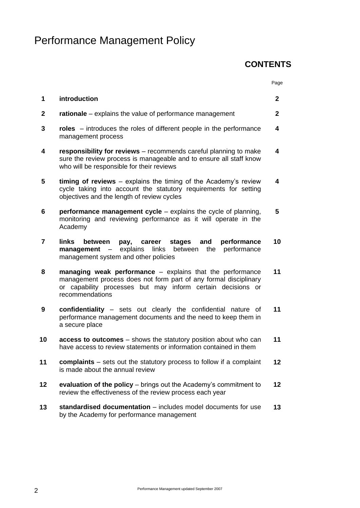# Performance Management Policy

#### **CONTENTS**

|              |                                                                                                                                                                                                                 | Page            |
|--------------|-----------------------------------------------------------------------------------------------------------------------------------------------------------------------------------------------------------------|-----------------|
| 1            | introduction                                                                                                                                                                                                    | $\mathbf{2}$    |
| $\mathbf{2}$ | rationale – explains the value of performance management                                                                                                                                                        | $\mathbf 2$     |
| 3            | roles – introduces the roles of different people in the performance<br>management process                                                                                                                       | 4               |
| 4            | responsibility for reviews - recommends careful planning to make<br>sure the review process is manageable and to ensure all staff know<br>who will be responsible for their reviews                             | 4               |
| 5            | timing of reviews $-$ explains the timing of the Academy's review<br>cycle taking into account the statutory requirements for setting<br>objectives and the length of review cycles                             | 4               |
| 6            | <b>performance management cycle</b> – explains the cycle of planning,<br>monitoring and reviewing performance as it will operate in the<br>Academy                                                              | 5               |
| 7            | links<br>performance<br>stages<br>and<br>between<br>pay,<br>career<br>explains<br>links between<br>performance<br>management<br>the<br>$\overline{\phantom{0}}$<br>management system and other policies         | 10              |
| 8            | managing weak performance – explains that the performance<br>management process does not form part of any formal disciplinary<br>or capability processes but may inform certain decisions or<br>recommendations | 11              |
| 9            | confidentiality - sets out clearly the confidential nature of<br>performance management documents and the need to keep them in<br>a secure place                                                                | 11              |
| 10           | access to outcomes - shows the statutory position about who can<br>have access to review statements or information contained in them                                                                            | 11              |
| 11           | complaints - sets out the statutory process to follow if a complaint<br>is made about the annual review                                                                                                         | 12 <sub>2</sub> |
| 12           | evaluation of the policy – brings out the Academy's commitment to<br>review the effectiveness of the review process each year                                                                                   | 12              |
| 13           | standardised documentation – includes model documents for use<br>by the Academy for performance management                                                                                                      | 13              |
|              |                                                                                                                                                                                                                 |                 |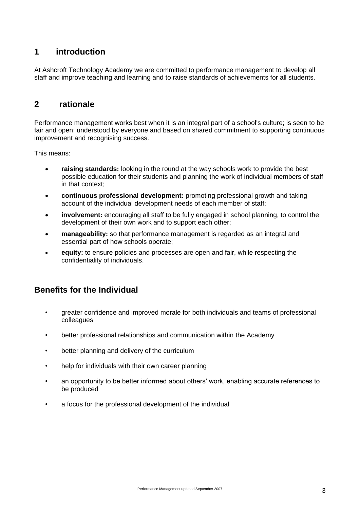#### **1 introduction**

At Ashcroft Technology Academy we are committed to performance management to develop all staff and improve teaching and learning and to raise standards of achievements for all students.

#### **2 rationale**

Performance management works best when it is an integral part of a school's culture; is seen to be fair and open; understood by everyone and based on shared commitment to supporting continuous improvement and recognising success.

This means:

- **raising standards:** looking in the round at the way schools work to provide the best possible education for their students and planning the work of individual members of staff in that context;
- **continuous professional development:** promoting professional growth and taking account of the individual development needs of each member of staff;
- **involvement:** encouraging all staff to be fully engaged in school planning, to control the development of their own work and to support each other;
- **manageability:** so that performance management is regarded as an integral and essential part of how schools operate;
- **equity:** to ensure policies and processes are open and fair, while respecting the confidentiality of individuals.

#### **Benefits for the Individual**

- greater confidence and improved morale for both individuals and teams of professional colleagues
- better professional relationships and communication within the Academy
- better planning and delivery of the curriculum
- help for individuals with their own career planning
- an opportunity to be better informed about others' work, enabling accurate references to be produced
- a focus for the professional development of the individual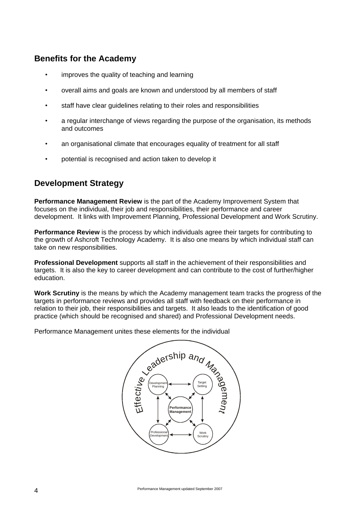#### **Benefits for the Academy**

- improves the quality of teaching and learning
- overall aims and goals are known and understood by all members of staff
- staff have clear quidelines relating to their roles and responsibilities
- a regular interchange of views regarding the purpose of the organisation, its methods and outcomes
- an organisational climate that encourages equality of treatment for all staff
- potential is recognised and action taken to develop it

#### **Development Strategy**

**Performance Management Review** is the part of the Academy Improvement System that focuses on the individual, their job and responsibilities, their performance and career development. It links with Improvement Planning, Professional Development and Work Scrutiny.

**Performance Review** is the process by which individuals agree their targets for contributing to the growth of Ashcroft Technology Academy. It is also one means by which individual staff can take on new responsibilities.

**Professional Development** supports all staff in the achievement of their responsibilities and targets. It is also the key to career development and can contribute to the cost of further/higher education.

**Work Scrutiny** is the means by which the Academy management team tracks the progress of the targets in performance reviews and provides all staff with feedback on their performance in relation to their job, their responsibilities and targets. It also leads to the identification of good practice (which should be recognised and shared) and Professional Development needs.

Performance Management unites these elements for the individual

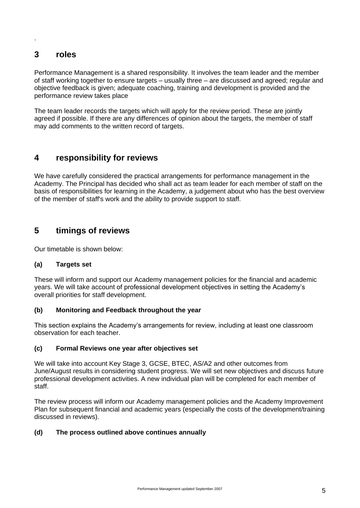#### **3 roles**

.

Performance Management is a shared responsibility. It involves the team leader and the member of staff working together to ensure targets – usually three – are discussed and agreed; regular and objective feedback is given; adequate coaching, training and development is provided and the performance review takes place

The team leader records the targets which will apply for the review period. These are jointly agreed if possible. If there are any differences of opinion about the targets, the member of staff may add comments to the written record of targets.

#### **4 responsibility for reviews**

We have carefully considered the practical arrangements for performance management in the Academy. The Principal has decided who shall act as team leader for each member of staff on the basis of responsibilities for learning in the Academy, a judgement about who has the best overview of the member of staff's work and the ability to provide support to staff.

#### **5 timings of reviews**

Our timetable is shown below:

#### **(a) Targets set**

These will inform and support our Academy management policies for the financial and academic years. We will take account of professional development objectives in setting the Academy's overall priorities for staff development.

#### **(b) Monitoring and Feedback throughout the year**

This section explains the Academy's arrangements for review, including at least one classroom observation for each teacher.

#### **(c) Formal Reviews one year after objectives set**

We will take into account Key Stage 3, GCSE, BTEC, AS/A2 and other outcomes from June/August results in considering student progress. We will set new objectives and discuss future professional development activities. A new individual plan will be completed for each member of staff.

The review process will inform our Academy management policies and the Academy Improvement Plan for subsequent financial and academic years (especially the costs of the development/training discussed in reviews).

#### **(d) The process outlined above continues annually**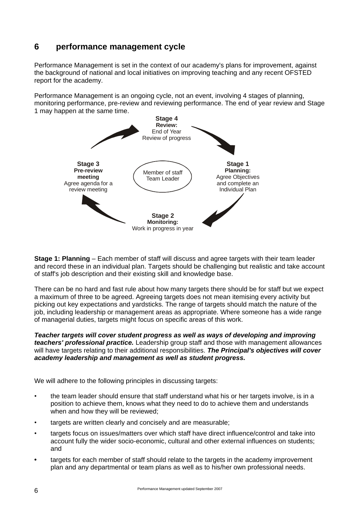#### **6 performance management cycle**

Performance Management is set in the context of our academy's plans for improvement, against the background of national and local initiatives on improving teaching and any recent OFSTED report for the academy.

Performance Management is an ongoing cycle, not an event, involving 4 stages of planning, monitoring performance, pre-review and reviewing performance. The end of year review and Stage 1 may happen at the same time.



**Stage 1: Planning** – Each member of staff will discuss and agree targets with their team leader and record these in an individual plan. Targets should be challenging but realistic and take account of staff's job description and their existing skill and knowledge base.

There can be no hard and fast rule about how many targets there should be for staff but we expect a maximum of three to be agreed. Agreeing targets does not mean itemising every activity but picking out key expectations and yardsticks. The range of targets should match the nature of the job, including leadership or management areas as appropriate. Where someone has a wide range of managerial duties, targets might focus on specific areas of this work.

*Teacher targets will cover student progress as well as ways of developing and improving teachers' professional practice.* Leadership group staff and those with management allowances will have targets relating to their additional responsibilities. *The Principal's objectives will cover academy leadership and management as well as student progress.*

We will adhere to the following principles in discussing targets:

- the team leader should ensure that staff understand what his or her targets involve, is in a position to achieve them, knows what they need to do to achieve them and understands when and how they will be reviewed;
- targets are written clearly and concisely and are measurable;
- targets focus on issues/matters over which staff have direct influence/control and take into account fully the wider socio-economic, cultural and other external influences on students; and
- **•** targets for each member of staff should relate to the targets in the academy improvement plan and any departmental or team plans as well as to his/her own professional needs.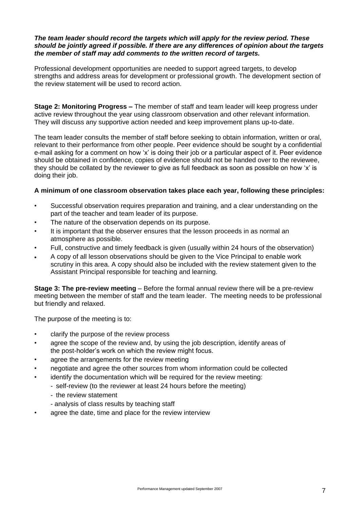#### *The team leader should record the targets which will apply for the review period. These should be jointly agreed if possible. If there are any differences of opinion about the targets the member of staff may add comments to the written record of targets.*

Professional development opportunities are needed to support agreed targets, to develop strengths and address areas for development or professional growth. The development section of the review statement will be used to record action.

**Stage 2: Monitoring Progress –** The member of staff and team leader will keep progress under active review throughout the year using classroom observation and other relevant information. They will discuss any supportive action needed and keep improvement plans up-to-date.

The team leader consults the member of staff before seeking to obtain information, written or oral, relevant to their performance from other people. Peer evidence should be sought by a confidential e-mail asking for a comment on how 'x' is doing their job or a particular aspect of it. Peer evidence should be obtained in confidence, copies of evidence should not be handed over to the reviewee, they should be collated by the reviewer to give as full feedback as soon as possible on how 'x' is doing their job.

#### **A minimum of one classroom observation takes place each year, following these principles:**

- Successful observation requires preparation and training, and a clear understanding on the part of the teacher and team leader of its purpose.
- The nature of the observation depends on its purpose.
- It is important that the observer ensures that the lesson proceeds in as normal an atmosphere as possible.
- Full, constructive and timely feedback is given (usually within 24 hours of the observation)
- A copy of all lesson observations should be given to the Vice Principal to enable work scrutiny in this area. A copy should also be included with the review statement given to the Assistant Principal responsible for teaching and learning.

**Stage 3: The pre-review meeting** – Before the formal annual review there will be a pre-review meeting between the member of staff and the team leader. The meeting needs to be professional but friendly and relaxed.

The purpose of the meeting is to:

- clarify the purpose of the review process
- agree the scope of the review and, by using the job description, identify areas of the post-holder's work on which the review might focus.
- agree the arrangements for the review meeting
- negotiate and agree the other sources from whom information could be collected
- identify the documentation which will be required for the review meeting:
	- self-review (to the reviewer at least 24 hours before the meeting)
	- the review statement
	- analysis of class results by teaching staff
- agree the date, time and place for the review interview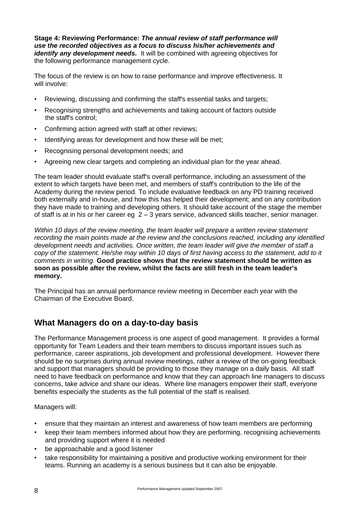**Stage 4: Reviewing Performance:** *The annual review of staff performance will use the recorded objectives as a focus to discuss his/her achievements and identify any development needs.* It will be combined with agreeing objectives for the following performance management cycle.

The focus of the review is on how to raise performance and improve effectiveness. It will involve:

- Reviewing, discussing and confirming the staff's essential tasks and targets;
- Recognising strengths and achievements and taking account of factors outside the staff's control;
- Confirming action agreed with staff at other reviews;
- Identifying areas for development and how these will be met;
- Recognising personal development needs; and
- Agreeing new clear targets and completing an individual plan for the year ahead.

The team leader should evaluate staff's overall performance, including an assessment of the extent to which targets have been met, and members of staff's contribution to the life of the Academy during the review period. To include evaluative feedback on any PD training received both externally and in-house, and how this has helped their development; and on any contribution they have made to training and developing others. It should take account of the stage the member of staff is at in his or her career eg 2 – 3 years service, advanced skills teacher, senior manager.

*Within 10 days of the review meeting, the team leader will prepare a written review statement recording the main points made at the review and the conclusions reached, including any identified development needs and activities. Once written, the team leader will give the member of staff a copy of the statement. He/she may within 10 days of first having access to the statement, add to it comments in writing.* **Good practice shows that the review statement should be written as soon as possible after the review, whilst the facts are still fresh in the team leader's memory.**

The Principal has an annual performance review meeting in December each year with the Chairman of the Executive Board.

#### **What Managers do on a day-to-day basis**

The Performance Management process is one aspect of good management. It provides a formal opportunity for Team Leaders and their team members to discuss important issues such as performance, career aspirations, job development and professional development. However there should be no surprises during annual review meetings, rather a review of the on-going feedback and support that managers should be providing to those they manage on a daily basis. All staff need to have feedback on performance and know that they can approach line managers to discuss concerns, take advice and share our ideas. Where line managers empower their staff, everyone benefits especially the students as the full potential of the staff is realised.

Managers will:

- ensure that they maintain an interest and awareness of how team members are performing
- keep their team members informed about how they are performing, recognising achievements and providing support where it is needed
- be approachable and a good listener
- take responsibility for maintaining a positive and productive working environment for their teams. Running an academy is a serious business but it can also be enjoyable.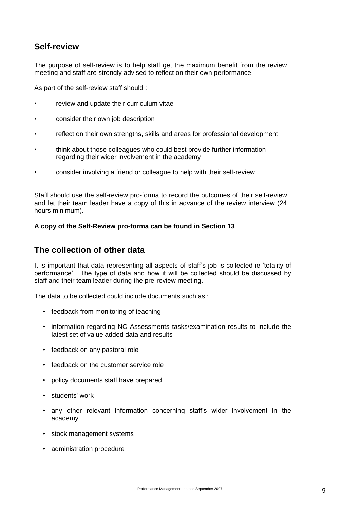#### **Self-review**

The purpose of self-review is to help staff get the maximum benefit from the review meeting and staff are strongly advised to reflect on their own performance.

As part of the self-review staff should :

- review and update their curriculum vitae
- consider their own job description
- reflect on their own strengths, skills and areas for professional development
- think about those colleagues who could best provide further information regarding their wider involvement in the academy
- consider involving a friend or colleague to help with their self-review

Staff should use the self-review pro-forma to record the outcomes of their self-review and let their team leader have a copy of this in advance of the review interview (24 hours minimum).

#### **A copy of the Self-Review pro-forma can be found in Section 13**

#### **The collection of other data**

It is important that data representing all aspects of staff's job is collected ie 'totality of performance'. The type of data and how it will be collected should be discussed by staff and their team leader during the pre-review meeting.

The data to be collected could include documents such as :

- feedback from monitoring of teaching
- information regarding NC Assessments tasks/examination results to include the latest set of value added data and results
- feedback on any pastoral role
- feedback on the customer service role
- policy documents staff have prepared
- students' work
- any other relevant information concerning staff's wider involvement in the academy
- stock management systems
- administration procedure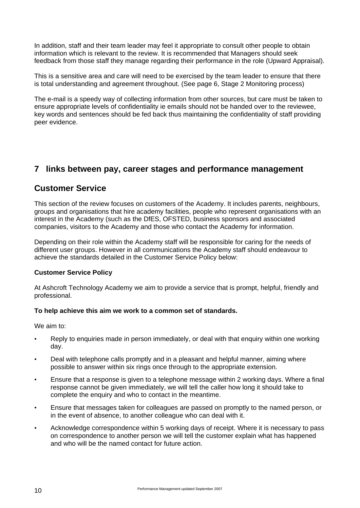In addition, staff and their team leader may feel it appropriate to consult other people to obtain information which is relevant to the review. It is recommended that Managers should seek feedback from those staff they manage regarding their performance in the role (Upward Appraisal).

This is a sensitive area and care will need to be exercised by the team leader to ensure that there is total understanding and agreement throughout. (See page 6, Stage 2 Monitoring process)

The e-mail is a speedy way of collecting information from other sources, but care must be taken to ensure appropriate levels of confidentiality ie emails should not be handed over to the reviewee, key words and sentences should be fed back thus maintaining the confidentiality of staff providing peer evidence.

#### **7 links between pay, career stages and performance management**

#### **Customer Service**

This section of the review focuses on customers of the Academy. It includes parents, neighbours, groups and organisations that hire academy facilities, people who represent organisations with an interest in the Academy (such as the DfES, OFSTED, business sponsors and associated companies, visitors to the Academy and those who contact the Academy for information.

Depending on their role within the Academy staff will be responsible for caring for the needs of different user groups. However in all communications the Academy staff should endeavour to achieve the standards detailed in the Customer Service Policy below:

#### **Customer Service Policy**

At Ashcroft Technology Academy we aim to provide a service that is prompt, helpful, friendly and professional.

#### **To help achieve this aim we work to a common set of standards.**

We aim to:

- Reply to enquiries made in person immediately, or deal with that enquiry within one working day.
- Deal with telephone calls promptly and in a pleasant and helpful manner, aiming where possible to answer within six rings once through to the appropriate extension.
- Ensure that a response is given to a telephone message within 2 working days. Where a final response cannot be given immediately, we will tell the caller how long it should take to complete the enquiry and who to contact in the meantime.
- Ensure that messages taken for colleagues are passed on promptly to the named person, or in the event of absence, to another colleague who can deal with it.
- Acknowledge correspondence within 5 working days of receipt. Where it is necessary to pass on correspondence to another person we will tell the customer explain what has happened and who will be the named contact for future action.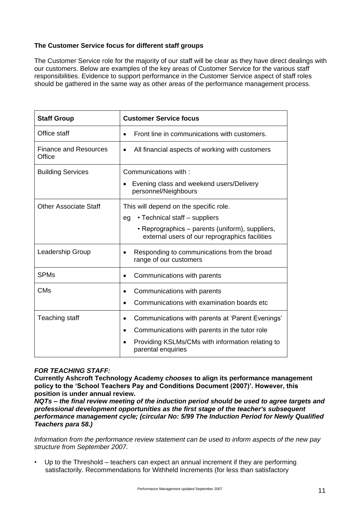#### **The Customer Service focus for different staff groups**

The Customer Service role for the majority of our staff will be clear as they have direct dealings with our customers. Below are examples of the key areas of Customer Service for the various staff responsibilities. Evidence to support performance in the Customer Service aspect of staff roles should be gathered in the same way as other areas of the performance management process.

| <b>Staff Group</b>                     | <b>Customer Service focus</b>                                                                                                                                                            |
|----------------------------------------|------------------------------------------------------------------------------------------------------------------------------------------------------------------------------------------|
| Office staff                           | Front line in communications with customers.                                                                                                                                             |
| <b>Finance and Resources</b><br>Office | All financial aspects of working with customers                                                                                                                                          |
| <b>Building Services</b>               | Communications with:<br>Evening class and weekend users/Delivery<br>personnel/Neighbours                                                                                                 |
| <b>Other Associate Staff</b>           | This will depend on the specific role.<br>• Technical staff – suppliers<br>eg<br>• Reprographics – parents (uniform), suppliers,<br>external users of our reprographics facilities       |
| Leadership Group                       | Responding to communications from the broad<br>range of our customers                                                                                                                    |
| <b>SPMs</b>                            | Communications with parents                                                                                                                                                              |
| <b>CM<sub>s</sub></b>                  | Communications with parents<br>Communications with examination boards etc                                                                                                                |
| Teaching staff                         | Communications with parents at 'Parent Evenings'<br>Communications with parents in the tutor role<br>$\bullet$<br>Providing KSLMs/CMs with information relating to<br>parental enquiries |

#### *FOR TEACHING STAFF:*

**Currently Ashcroft Technology Academy** *chooses* **to align its performance management policy to the 'School Teachers Pay and Conditions Document (2007)'. However, this position is under annual review.**

*NQTs – the final review meeting of the induction period should be used to agree targets and professional development opportunities as the first stage of the teacher's subsequent performance management cycle; (circular No: 5/99 The Induction Period for Newly Qualified Teachers para 58.)*

*Information from the performance review statement can be used to inform aspects of the new pay structure from September 2007.*

• Up to the Threshold – teachers can expect an annual increment if they are performing satisfactorily. Recommendations for Withheld Increments (for less than satisfactory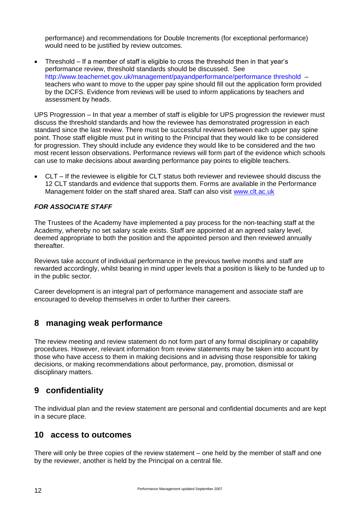performance) and recommendations for Double Increments (for exceptional performance) would need to be justified by review outcomes.

 Threshold – If a member of staff is eligible to cross the threshold then in that year's performance review, threshold standards should be discussed. See [http://www.teachernet.gov.uk/management/payandperformance/performance threshold](http://www.teachernet.gov.uk/management/payandperformance/performance%20threshold) – teachers who want to move to the upper pay spine should fill out the application form provided by the DCFS. Evidence from reviews will be used to inform applications by teachers and assessment by heads.

UPS Progression – In that year a member of staff is eligible for UPS progression the reviewer must discuss the threshold standards and how the reviewee has demonstrated progression in each standard since the last review. There must be successful reviews between each upper pay spine point. Those staff eligible must put in writing to the Principal that they would like to be considered for progression. They should include any evidence they would like to be considered and the two most recent lesson observations. Performance reviews will form part of the evidence which schools can use to make decisions about awarding performance pay points to eligible teachers.

 CLT – If the reviewee is eligible for CLT status both reviewer and reviewee should discuss the 12 CLT standards and evidence that supports them. Forms are available in the Performance Management folder on the staff shared area. Staff can also visit [www.clt.ac.uk](http://www.clt.ac.uk/)

#### *FOR ASSOCIATE STAFF*

The Trustees of the Academy have implemented a pay process for the non-teaching staff at the Academy, whereby no set salary scale exists. Staff are appointed at an agreed salary level, deemed appropriate to both the position and the appointed person and then reviewed annually thereafter.

Reviews take account of individual performance in the previous twelve months and staff are rewarded accordingly, whilst bearing in mind upper levels that a position is likely to be funded up to in the public sector.

Career development is an integral part of performance management and associate staff are encouraged to develop themselves in order to further their careers.

#### **8 managing weak performance**

The review meeting and review statement do not form part of any formal disciplinary or capability procedures. However, relevant information from review statements may be taken into account by those who have access to them in making decisions and in advising those responsible for taking decisions, or making recommendations about performance, pay, promotion, dismissal or disciplinary matters.

#### **9 confidentiality**

The individual plan and the review statement are personal and confidential documents and are kept in a secure place.

#### **10 access to outcomes**

There will only be three copies of the review statement – one held by the member of staff and one by the reviewer, another is held by the Principal on a central file.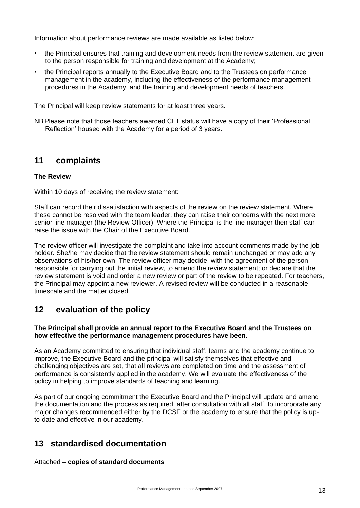Information about performance reviews are made available as listed below:

- the Principal ensures that training and development needs from the review statement are given to the person responsible for training and development at the Academy;
- the Principal reports annually to the Executive Board and to the Trustees on performance management in the academy, including the effectiveness of the performance management procedures in the Academy, and the training and development needs of teachers.

The Principal will keep review statements for at least three years.

NBPlease note that those teachers awarded CLT status will have a copy of their 'Professional Reflection' housed with the Academy for a period of 3 years.

#### **11 complaints**

#### **The Review**

Within 10 days of receiving the review statement:

Staff can record their dissatisfaction with aspects of the review on the review statement. Where these cannot be resolved with the team leader, they can raise their concerns with the next more senior line manager (the Review Officer). Where the Principal is the line manager then staff can raise the issue with the Chair of the Executive Board.

The review officer will investigate the complaint and take into account comments made by the job holder. She/he may decide that the review statement should remain unchanged or may add any observations of his/her own. The review officer may decide, with the agreement of the person responsible for carrying out the initial review, to amend the review statement; or declare that the review statement is void and order a new review or part of the review to be repeated. For teachers, the Principal may appoint a new reviewer. A revised review will be conducted in a reasonable timescale and the matter closed.

#### **12 evaluation of the policy**

#### **The Principal shall provide an annual report to the Executive Board and the Trustees on how effective the performance management procedures have been.**

As an Academy committed to ensuring that individual staff, teams and the academy continue to improve, the Executive Board and the principal will satisfy themselves that effective and challenging objectives are set, that all reviews are completed on time and the assessment of performance is consistently applied in the academy. We will evaluate the effectiveness of the policy in helping to improve standards of teaching and learning.

As part of our ongoing commitment the Executive Board and the Principal will update and amend the documentation and the process as required, after consultation with all staff, to incorporate any major changes recommended either by the DCSF or the academy to ensure that the policy is upto-date and effective in our academy.

#### **13 standardised documentation**

Attached **– copies of standard documents**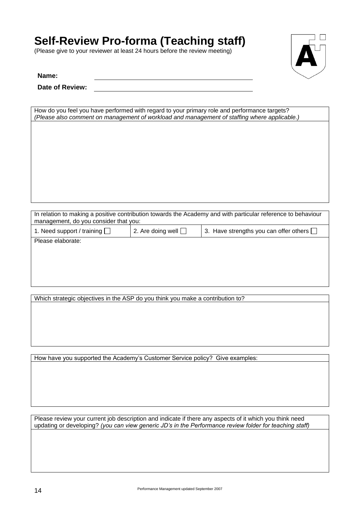# **Self-Review Pro-forma (Teaching staff)**

(Please give to your reviewer at least 24 hours before the review meeting)



**Name:**

**Date of Review:**

| How do you feel you have performed with regard to your primary role and performance targets?<br>(Please also comment on management of workload and management of staffing where applicable.) |
|----------------------------------------------------------------------------------------------------------------------------------------------------------------------------------------------|
|                                                                                                                                                                                              |
|                                                                                                                                                                                              |
|                                                                                                                                                                                              |
|                                                                                                                                                                                              |
|                                                                                                                                                                                              |
|                                                                                                                                                                                              |
|                                                                                                                                                                                              |

|                                       | In relation to making a positive contribution towards the Academy and with particular reference to behaviour |
|---------------------------------------|--------------------------------------------------------------------------------------------------------------|
| management, do you consider that you: |                                                                                                              |
|                                       |                                                                                                              |

| 1. Need support / training $\Box$ | 2. Are doing well $\square$ | 13. Have strengths you can offer others $\square$ |
|-----------------------------------|-----------------------------|---------------------------------------------------|
| Please elaborate:                 |                             |                                                   |

Which strategic objectives in the ASP do you think you make a contribution to?

How have you supported the Academy's Customer Service policy? Give examples:

Please review your current job description and indicate if there any aspects of it which you think need updating or developing? *(you can view generic JD's in the Performance review folder for teaching staff)*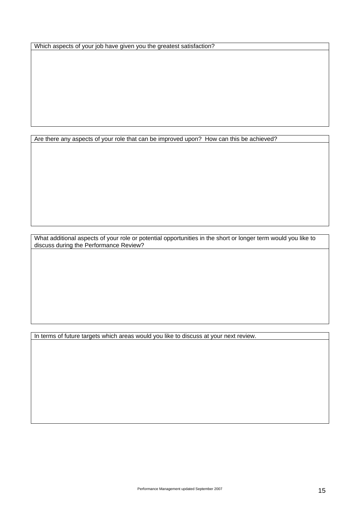Which aspects of your job have given you the greatest satisfaction?

Are there any aspects of your role that can be improved upon? How can this be achieved?

What additional aspects of your role or potential opportunities in the short or longer term would you like to discuss during the Performance Review?

In terms of future targets which areas would you like to discuss at your next review.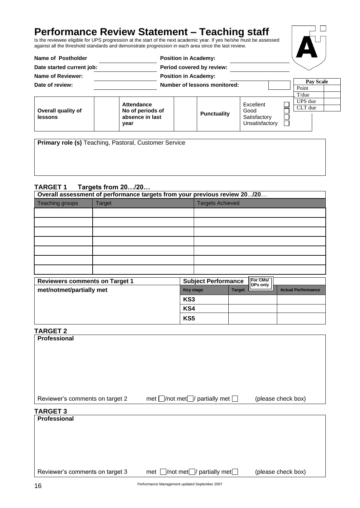## **Performance Review Statement – Teaching staff**

Is the reviewee eligible for UPS progression at the start of the next academic year. If yes he/she must be assessed against all the threshold standards and demonstrate progression in each area since the last review.

| Name of Postholder        |                         | <b>Position in Academy:</b> |                              |                                |                  |  |
|---------------------------|-------------------------|-----------------------------|------------------------------|--------------------------------|------------------|--|
| Date started current job: |                         | Period covered by review:   |                              |                                |                  |  |
| Name of Reviewer:         |                         | <b>Position in Academy:</b> |                              |                                |                  |  |
| Date of review:           |                         |                             | Number of lessons monitored: |                                | <b>Pay Scale</b> |  |
|                           |                         |                             |                              |                                | Point            |  |
|                           |                         |                             |                              |                                | T/due            |  |
|                           | Attendance              |                             |                              | Excellent                      | UPS due          |  |
| Overall quality of        | No of periods of        |                             |                              | Good                           | CLT due          |  |
| lessons                   | absence in last<br>year |                             | <b>Punctuality</b>           | Satisfactory<br>Unsatisfactory |                  |  |

**Primary role (s)** Teaching, Pastoral, Customer Service

#### **TARGET 1 Targets from 20…/20…**

|                                       | Overall assessment of performance targets from your previous review 20/20 |     |                            |               |                      |                           |
|---------------------------------------|---------------------------------------------------------------------------|-----|----------------------------|---------------|----------------------|---------------------------|
| Teaching groups                       | <b>Target</b>                                                             |     | <b>Targets Achieved</b>    |               |                      |                           |
|                                       |                                                                           |     |                            |               |                      |                           |
|                                       |                                                                           |     |                            |               |                      |                           |
|                                       |                                                                           |     |                            |               |                      |                           |
|                                       |                                                                           |     |                            |               |                      |                           |
|                                       |                                                                           |     |                            |               |                      |                           |
|                                       |                                                                           |     |                            |               |                      |                           |
|                                       |                                                                           |     |                            |               |                      |                           |
| <b>Reviewers comments on Target 1</b> |                                                                           |     | <b>Subject Performance</b> |               | For CMs/<br>DPs only |                           |
| met/notmet/partially met              |                                                                           |     | <b>Key stage</b>           | <b>Target</b> |                      | <b>Actual Performance</b> |
|                                       |                                                                           | KS3 |                            |               |                      |                           |
|                                       |                                                                           | KS4 |                            |               |                      |                           |
|                                       |                                                                           | KS5 |                            |               |                      |                           |

|--|

| <b>Reviewers comments on Target 1</b> | <b>Subject Performance</b>                        |               | For CMs/<br>DPs only |                           |
|---------------------------------------|---------------------------------------------------|---------------|----------------------|---------------------------|
| met/notmet/partially met              | <b>Key stage</b>                                  | <b>Target</b> |                      | <b>Actual Performance</b> |
|                                       | KS3                                               |               |                      |                           |
|                                       | KS4                                               |               |                      |                           |
|                                       | KS5                                               |               |                      |                           |
| <b>TARGET 2</b>                       |                                                   |               |                      |                           |
| Professional                          |                                                   |               |                      |                           |
|                                       |                                                   |               |                      |                           |
|                                       |                                                   |               |                      |                           |
|                                       |                                                   |               |                      |                           |
|                                       |                                                   |               |                      |                           |
|                                       |                                                   |               |                      |                           |
| Reviewer's comments on target 2       | met $\Box$ /not met $\Box$ / partially met $\Box$ |               |                      | (please check box)        |
| <b>TARGET 3</b>                       |                                                   |               |                      |                           |
| Professional                          |                                                   |               |                      |                           |
|                                       |                                                   |               |                      |                           |
|                                       |                                                   |               |                      |                           |
|                                       |                                                   |               |                      |                           |
|                                       |                                                   |               |                      |                           |
| Reviewer's comments on target 3       | met $\Box$ /not met $\Box$ / partially met $\Box$ |               |                      | (please check box)        |
| 16                                    | Performance Management updated September 2007     |               |                      |                           |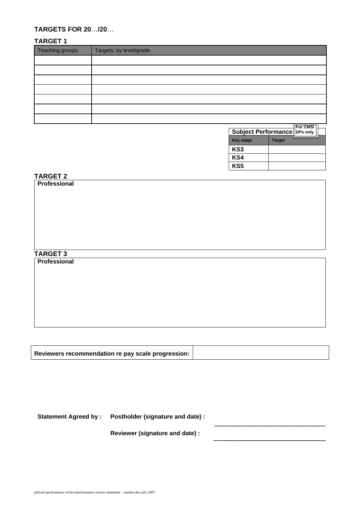#### **TARGETS FOR 20**…**/20**…

#### **TARGET 1**

| Teaching groups | Targets: by level/grade |
|-----------------|-------------------------|
|                 |                         |
|                 |                         |
|                 |                         |
|                 |                         |
|                 |                         |
|                 |                         |
|                 |                         |

| <b>Subject Performance   DPs only</b> |               | For CMS/ |  |
|---------------------------------------|---------------|----------|--|
| <b>Key stage</b>                      | <b>Target</b> |          |  |
| KS <sub>3</sub>                       |               |          |  |
| KS4                                   |               |          |  |
| KS5                                   |               |          |  |

#### **0 TARGET 2**

# **Professional TARGET 3 Professional**

| Reviewers recommendation re pay scale progression: |
|----------------------------------------------------|
|----------------------------------------------------|

**Statement Agreed by : Postholder (signature and date) :**

**Reviewer (signature and date) :**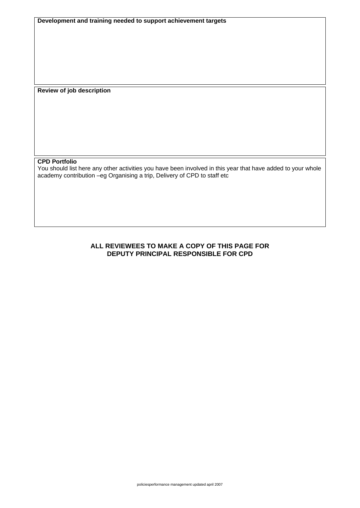**Development and training needed to support achievement targets**

**Review of job description**

#### **CPD Portfolio**

You should list here any other activities you have been involved in this year that have added to your whole academy contribution –eg Organising a trip, Delivery of CPD to staff etc

#### **ALL REVIEWEES TO MAKE A COPY OF THIS PAGE FOR DEPUTY PRINCIPAL RESPONSIBLE FOR CPD**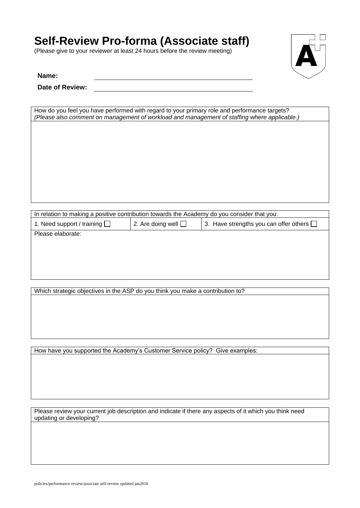# **Self-Review Pro-forma (Associate staff)**

(Please give to your reviewer at least 24 hours before the review meeting)



**Name:**

**Date of Review:**

| How do you feel you have performed with regard to your primary role and performance targets? |  |  |  |  |  |
|----------------------------------------------------------------------------------------------|--|--|--|--|--|
| (Please also comment on management of workload and management of staffing where applicable.) |  |  |  |  |  |
|                                                                                              |  |  |  |  |  |
|                                                                                              |  |  |  |  |  |
|                                                                                              |  |  |  |  |  |
|                                                                                              |  |  |  |  |  |
|                                                                                              |  |  |  |  |  |
|                                                                                              |  |  |  |  |  |
|                                                                                              |  |  |  |  |  |
|                                                                                              |  |  |  |  |  |
|                                                                                              |  |  |  |  |  |
|                                                                                              |  |  |  |  |  |
|                                                                                              |  |  |  |  |  |
|                                                                                              |  |  |  |  |  |
|                                                                                              |  |  |  |  |  |
|                                                                                              |  |  |  |  |  |

| In relation to making a positive contribution towards the Academy do you consider that you: |                          |                                               |  |  |  |  |
|---------------------------------------------------------------------------------------------|--------------------------|-----------------------------------------------|--|--|--|--|
| 1. Need support / training $\Box$                                                           | 2. Are doing well $\Box$ | 3. Have strengths you can offer others $\Box$ |  |  |  |  |
| Please elaborate:                                                                           |                          |                                               |  |  |  |  |
|                                                                                             |                          |                                               |  |  |  |  |
|                                                                                             |                          |                                               |  |  |  |  |
|                                                                                             |                          |                                               |  |  |  |  |
|                                                                                             |                          |                                               |  |  |  |  |
|                                                                                             |                          |                                               |  |  |  |  |

Which strategic objectives in the ASP do you think you make a contribution to?

How have you supported the Academy's Customer Service policy? Give examples:

Please review your current job description and indicate if there any aspects of it which you think need updating or developing?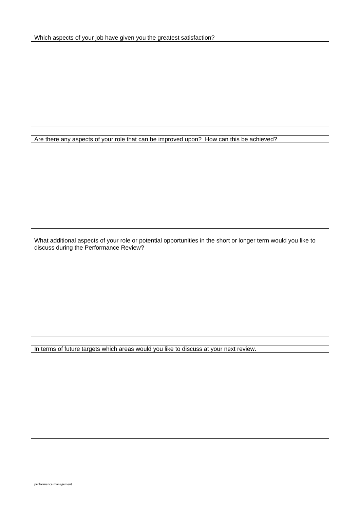Which aspects of your job have given you the greatest satisfaction?

Are there any aspects of your role that can be improved upon? How can this be achieved?

What additional aspects of your role or potential opportunities in the short or longer term would you like to discuss during the Performance Review?

In terms of future targets which areas would you like to discuss at your next review.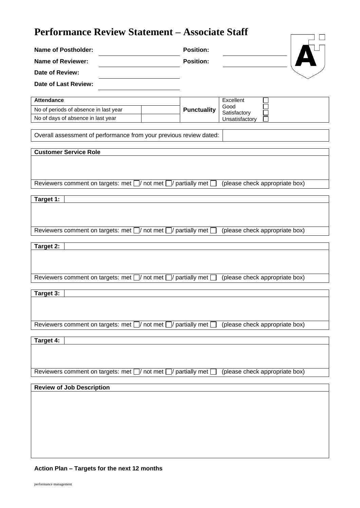## **Performance Review Statement – Associate Staff**

| I el iol mance Review Statement – Associate Stall                            |                                      |                                |
|------------------------------------------------------------------------------|--------------------------------------|--------------------------------|
| <b>Name of Postholder:</b><br>Name of Reviewer:                              | <b>Position:</b><br><b>Position:</b> |                                |
| Date of Review:                                                              |                                      |                                |
| Date of Last Review:                                                         |                                      |                                |
| <b>Attendance</b>                                                            |                                      | Excellent                      |
| No of periods of absence in last year                                        | <b>Punctuality</b>                   | Good<br>Satisfactory           |
| No of days of absence in last year                                           |                                      | Unsatisfactory                 |
| Overall assessment of performance from your previous review dated:           |                                      |                                |
| <b>Customer Service Role</b>                                                 |                                      |                                |
| Reviewers comment on targets: met $\Box$ not met $\Box$ partially met $\Box$ |                                      | (please check appropriate box) |
|                                                                              |                                      |                                |
| Target 1:                                                                    |                                      |                                |
|                                                                              |                                      |                                |
| Reviewers comment on targets: met $\Box$ not met $\Box$ partially met [      |                                      | (please check appropriate box) |
| Target 2:                                                                    |                                      |                                |
| Reviewers comment on targets: met $\Box$ not met $\Box$                      | ]/ partially met [                   | (please check appropriate box) |
|                                                                              |                                      |                                |
| Target 3:                                                                    |                                      |                                |
|                                                                              |                                      |                                |
| Reviewers comment on targets: met $\Box$ not met $\Box$ partially met $\Box$ |                                      | (please check appropriate box) |
| Target 4:                                                                    |                                      |                                |
|                                                                              |                                      |                                |
| Reviewers comment on targets: met $\Box$ not met $\Box$ partially met $\Box$ |                                      | (please check appropriate box) |
| <b>Review of Job Description</b>                                             |                                      |                                |
|                                                                              |                                      |                                |

#### **Action Plan – Targets for the next 12 months**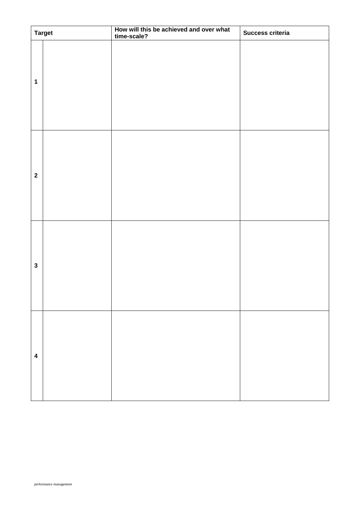|                         | <b>Target</b> | How will this be achieved and over what<br>time-scale? | Success criteria |
|-------------------------|---------------|--------------------------------------------------------|------------------|
| $\mathbf 1$             |               |                                                        |                  |
| $\mathbf{2}$            |               |                                                        |                  |
| $\mathbf{3}$            |               |                                                        |                  |
| $\overline{\mathbf{4}}$ |               |                                                        |                  |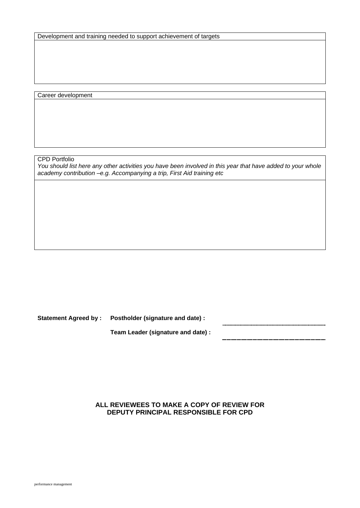Development and training needed to support achievement of targets

Career development

CPD Portfolio

*You should list here any other activities you have been involved in this year that have added to your whole academy contribution –e.g. Accompanying a trip, First Aid training etc*

**Statement Agreed by : Postholder (signature and date) :**

**Team Leader (signature and date) :**

**ALL REVIEWEES TO MAKE A COPY OF REVIEW FOR DEPUTY PRINCIPAL RESPONSIBLE FOR CPD**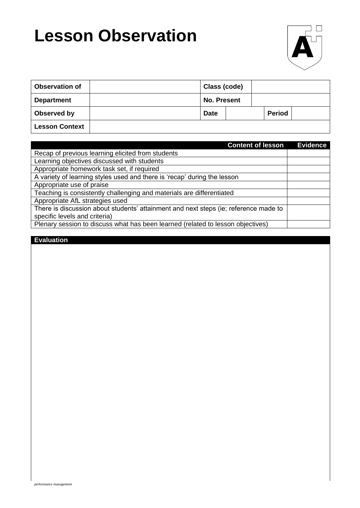# **Lesson Observation**



| <b>Observation of</b> | Class (code)       |  |               |  |
|-----------------------|--------------------|--|---------------|--|
| <b>Department</b>     | <b>No. Present</b> |  |               |  |
| <b>Observed by</b>    | <b>Date</b>        |  | <b>Period</b> |  |
| <b>Lesson Context</b> |                    |  |               |  |

| <b>Content of lesson</b>                                                             | <b>Evidence</b> |
|--------------------------------------------------------------------------------------|-----------------|
| Recap of previous learning elicited from students                                    |                 |
| Learning objectives discussed with students                                          |                 |
| Appropriate homework task set, if required                                           |                 |
| A variety of learning styles used and there is 'recap' during the lesson             |                 |
| Appropriate use of praise                                                            |                 |
| Teaching is consistently challenging and materials are differentiated                |                 |
| Appropriate AfL strategies used                                                      |                 |
| There is discussion about students' attainment and next steps (ie; reference made to |                 |
| specific levels and criteria)                                                        |                 |
| Plenary session to discuss what has been learned (related to lesson objectives)      |                 |

#### **Evaluation**

performance management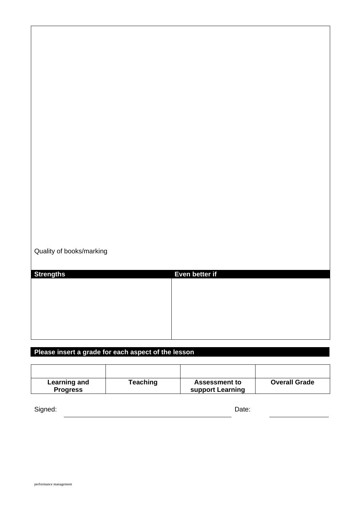Quality of books/marking

| <b>Strengths</b> | Even better if |
|------------------|----------------|
|                  |                |
|                  |                |
|                  |                |
|                  |                |
|                  |                |
|                  |                |

#### **Please insert a grade for each aspect of the lesson**

| Learning and    | <b>Teaching</b> | <b>Assessment to</b> | <b>Overall Grade</b> |
|-----------------|-----------------|----------------------|----------------------|
| <b>Progress</b> |                 | support Learning     |                      |

Signed: Date: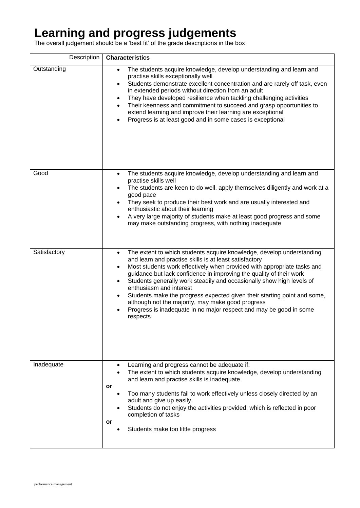# **Learning and progress judgements**

The overall judgement should be a 'best fit' of the grade descriptions in the box

| Description  | <b>Characteristics</b>                                                                                                                                                                                                                                                                                                                                                                                                                                                                                                                                                                                                                                            |
|--------------|-------------------------------------------------------------------------------------------------------------------------------------------------------------------------------------------------------------------------------------------------------------------------------------------------------------------------------------------------------------------------------------------------------------------------------------------------------------------------------------------------------------------------------------------------------------------------------------------------------------------------------------------------------------------|
| Outstanding  | The students acquire knowledge, develop understanding and learn and<br>$\bullet$<br>practise skills exceptionally well<br>Students demonstrate excellent concentration and are rarely off task, even<br>$\bullet$<br>in extended periods without direction from an adult<br>They have developed resilience when tackling challenging activities<br>$\bullet$<br>Their keenness and commitment to succeed and grasp opportunities to<br>$\bullet$<br>extend learning and improve their learning are exceptional<br>Progress is at least good and in some cases is exceptional                                                                                      |
| Good         | The students acquire knowledge, develop understanding and learn and<br>$\bullet$<br>practise skills well<br>The students are keen to do well, apply themselves diligently and work at a<br>good pace<br>They seek to produce their best work and are usually interested and<br>enthusiastic about their learning<br>A very large majority of students make at least good progress and some<br>$\bullet$<br>may make outstanding progress, with nothing inadequate                                                                                                                                                                                                 |
| Satisfactory | The extent to which students acquire knowledge, develop understanding<br>$\bullet$<br>and learn and practise skills is at least satisfactory<br>Most students work effectively when provided with appropriate tasks and<br>$\bullet$<br>guidance but lack confidence in improving the quality of their work<br>Students generally work steadily and occasionally show high levels of<br>$\bullet$<br>enthusiasm and interest<br>Students make the progress expected given their starting point and some,<br>٠<br>although not the majority, may make good progress<br>Progress is inadequate in no major respect and may be good in some<br>$\bullet$<br>respects |
| Inadequate   | Learning and progress cannot be adequate if:<br>The extent to which students acquire knowledge, develop understanding<br>and learn and practise skills is inadequate<br>or<br>Too many students fail to work effectively unless closely directed by an<br>adult and give up easily.<br>Students do not enjoy the activities provided, which is reflected in poor<br>completion of tasks<br>or<br>Students make too little progress                                                                                                                                                                                                                                |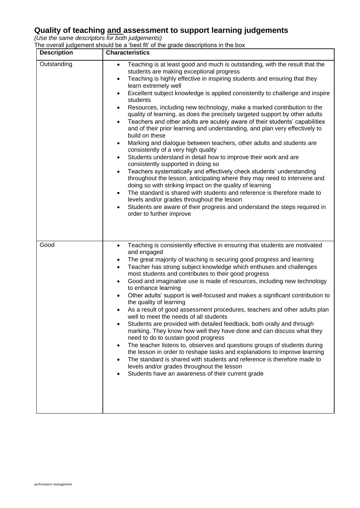#### **Quality of teaching and assessment to support learning judgements**

*(Use the same descriptors for both judgements)* 

The overall judgement should be a 'best fit' of the grade descriptions in the box

| <b>Description</b> | <b>Characteristics</b>                                                                                                                                                                                                                                                                                                                                                                                                                                                                                                                                                                                                                                                                                                                                                                                                                                                                                                                                                                                                                                                                                                                                                                                                                                                                                                                                                                                                                               |
|--------------------|------------------------------------------------------------------------------------------------------------------------------------------------------------------------------------------------------------------------------------------------------------------------------------------------------------------------------------------------------------------------------------------------------------------------------------------------------------------------------------------------------------------------------------------------------------------------------------------------------------------------------------------------------------------------------------------------------------------------------------------------------------------------------------------------------------------------------------------------------------------------------------------------------------------------------------------------------------------------------------------------------------------------------------------------------------------------------------------------------------------------------------------------------------------------------------------------------------------------------------------------------------------------------------------------------------------------------------------------------------------------------------------------------------------------------------------------------|
| Outstanding        | Teaching is at least good and much is outstanding, with the result that the<br>$\bullet$<br>students are making exceptional progress<br>Teaching is highly effective in inspiring students and ensuring that they<br>$\bullet$<br>learn extremely well<br>Excellent subject knowledge is applied consistently to challenge and inspire<br>$\bullet$<br>students<br>Resources, including new technology, make a marked contribution to the<br>$\bullet$<br>quality of learning, as does the precisely targeted support by other adults<br>Teachers and other adults are acutely aware of their students' capabilities<br>$\bullet$<br>and of their prior learning and understanding, and plan very effectively to<br>build on these<br>Marking and dialogue between teachers, other adults and students are<br>$\bullet$<br>consistently of a very high quality<br>Students understand in detail how to improve their work and are<br>$\bullet$<br>consistently supported in doing so<br>Teachers systematically and effectively check students' understanding<br>$\bullet$<br>throughout the lesson, anticipating where they may need to intervene and<br>doing so with striking impact on the quality of learning<br>The standard is shared with students and reference is therefore made to<br>levels and/or grades throughout the lesson<br>Students are aware of their progress and understand the steps required in<br>order to further improve |
| Good               | Teaching is consistently effective in ensuring that students are motivated<br>$\bullet$<br>and engaged<br>The great majority of teaching is securing good progress and learning<br>Teacher has strong subject knowledge which enthuses and challenges<br>$\bullet$<br>most students and contributes to their good progress<br>Good and imaginative use is made of resources, including new technology<br>$\bullet$<br>to enhance learning<br>Other adults' support is well-focused and makes a significant contribution to<br>the quality of learning<br>As a result of good assessment procedures, teachers and other adults plan<br>well to meet the needs of all students<br>Students are provided with detailed feedback, both orally and through<br>marking. They know how well they have done and can discuss what they<br>need to do to sustain good progress<br>The teacher listens to, observes and questions groups of students during<br>the lesson in order to reshape tasks and explanations to improve learning<br>The standard is shared with students and reference is therefore made to<br>levels and/or grades throughout the lesson<br>Students have an awareness of their current grade                                                                                                                                                                                                                                          |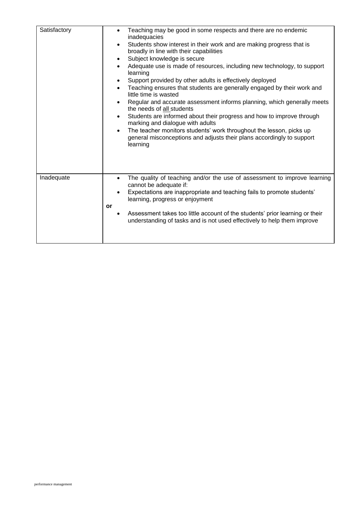| Satisfactory | Teaching may be good in some respects and there are no endemic<br>$\bullet$<br>inadequacies<br>Students show interest in their work and are making progress that is<br>$\bullet$<br>broadly in line with their capabilities<br>Subject knowledge is secure<br>$\bullet$<br>Adequate use is made of resources, including new technology, to support<br>$\bullet$<br>learning<br>Support provided by other adults is effectively deployed<br>Teaching ensures that students are generally engaged by their work and<br>$\bullet$<br>little time is wasted<br>Regular and accurate assessment informs planning, which generally meets<br>$\bullet$<br>the needs of all students<br>Students are informed about their progress and how to improve through<br>$\bullet$<br>marking and dialogue with adults<br>The teacher monitors students' work throughout the lesson, picks up<br>$\bullet$<br>general misconceptions and adjusts their plans accordingly to support<br>learning |
|--------------|---------------------------------------------------------------------------------------------------------------------------------------------------------------------------------------------------------------------------------------------------------------------------------------------------------------------------------------------------------------------------------------------------------------------------------------------------------------------------------------------------------------------------------------------------------------------------------------------------------------------------------------------------------------------------------------------------------------------------------------------------------------------------------------------------------------------------------------------------------------------------------------------------------------------------------------------------------------------------------|
| Inadequate   | The quality of teaching and/or the use of assessment to improve learning<br>$\bullet$<br>cannot be adequate if:<br>Expectations are inappropriate and teaching fails to promote students'<br>learning, progress or enjoyment<br>or<br>Assessment takes too little account of the students' prior learning or their<br>understanding of tasks and is not used effectively to help them improve                                                                                                                                                                                                                                                                                                                                                                                                                                                                                                                                                                                   |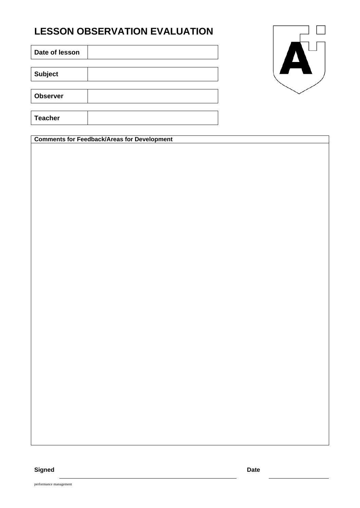## **LESSON OBSERVATION EVALUATION**

**Date of lesson**

**Subject**

**Observer**

**Teacher**

**Comments for Feedback/Areas for Development**



performance management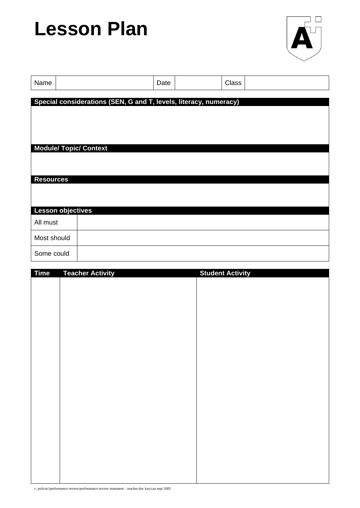# **Lesson Plan**



| Name                     |                               | Date |                                                                   | Class |  |
|--------------------------|-------------------------------|------|-------------------------------------------------------------------|-------|--|
|                          |                               |      | Special considerations (SEN, G and T, levels, literacy, numeracy) |       |  |
|                          |                               |      |                                                                   |       |  |
|                          |                               |      |                                                                   |       |  |
|                          |                               |      |                                                                   |       |  |
|                          | <b>Module/ Topic/ Context</b> |      |                                                                   |       |  |
|                          |                               |      |                                                                   |       |  |
| <b>Resources</b>         |                               |      |                                                                   |       |  |
|                          |                               |      |                                                                   |       |  |
| <b>Lesson objectives</b> |                               |      |                                                                   |       |  |
| All must                 |                               |      |                                                                   |       |  |
| Most should              |                               |      |                                                                   |       |  |
| Some could               |                               |      |                                                                   |       |  |

| <b>Time</b> | <b>Teacher Activity</b> | <b>Student Activity</b> |
|-------------|-------------------------|-------------------------|
|             |                         |                         |
|             |                         |                         |
|             |                         |                         |
|             |                         |                         |
|             |                         |                         |
|             |                         |                         |
|             |                         |                         |
|             |                         |                         |
|             |                         |                         |
|             |                         |                         |
|             |                         |                         |
|             |                         |                         |
|             |                         |                         |
|             |                         |                         |
|             |                         |                         |
|             |                         |                         |
|             |                         |                         |
|             |                         |                         |
|             |                         |                         |
|             |                         |                         |
|             |                         |                         |
|             |                         |                         |
|             |                         |                         |

c: policie//performance review/performance review statement – teacher.doc kay/caa sept 2005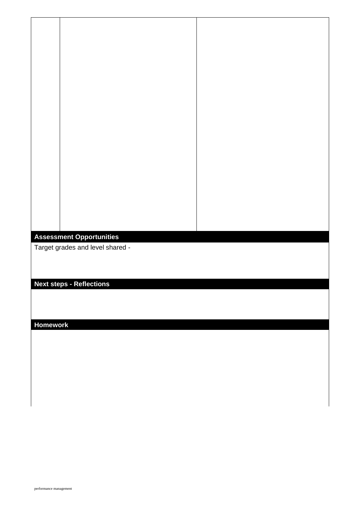#### **Assessment Opportunities**

Target grades and level shared -

## **Next steps - Reflections**

#### **Homework**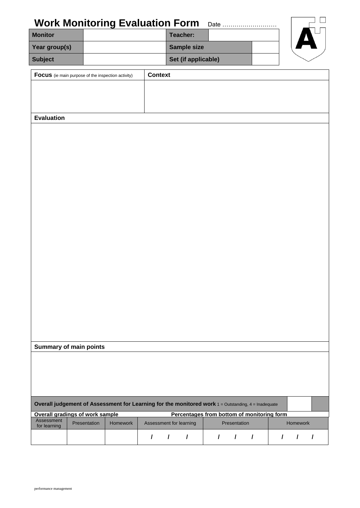| <b>Work Monitoring Evaluation Form</b>                                                              |              |          |                |                         |                                            |               |              | Date       |          |                     |
|-----------------------------------------------------------------------------------------------------|--------------|----------|----------------|-------------------------|--------------------------------------------|---------------|--------------|------------|----------|---------------------|
| <b>Monitor</b>                                                                                      |              |          |                |                         | Teacher:                                   |               |              |            |          |                     |
| Year group(s)                                                                                       |              |          |                |                         | Sample size                                |               |              |            |          |                     |
| <b>Subject</b>                                                                                      |              |          |                |                         | Set (if applicable)                        |               |              |            |          |                     |
| Focus (ie main purpose of the inspection activity)                                                  |              |          | <b>Context</b> |                         |                                            |               |              |            |          |                     |
|                                                                                                     |              |          |                |                         |                                            |               |              |            |          |                     |
|                                                                                                     |              |          |                |                         |                                            |               |              |            |          |                     |
|                                                                                                     |              |          |                |                         |                                            |               |              |            |          |                     |
| <b>Evaluation</b>                                                                                   |              |          |                |                         |                                            |               |              |            |          |                     |
|                                                                                                     |              |          |                |                         |                                            |               |              |            |          |                     |
|                                                                                                     |              |          |                |                         |                                            |               |              |            |          |                     |
|                                                                                                     |              |          |                |                         |                                            |               |              |            |          |                     |
|                                                                                                     |              |          |                |                         |                                            |               |              |            |          |                     |
|                                                                                                     |              |          |                |                         |                                            |               |              |            |          |                     |
|                                                                                                     |              |          |                |                         |                                            |               |              |            |          |                     |
|                                                                                                     |              |          |                |                         |                                            |               |              |            |          |                     |
|                                                                                                     |              |          |                |                         |                                            |               |              |            |          |                     |
|                                                                                                     |              |          |                |                         |                                            |               |              |            |          |                     |
|                                                                                                     |              |          |                |                         |                                            |               |              |            |          |                     |
|                                                                                                     |              |          |                |                         |                                            |               |              |            |          |                     |
|                                                                                                     |              |          |                |                         |                                            |               |              |            |          |                     |
|                                                                                                     |              |          |                |                         |                                            |               |              |            |          |                     |
|                                                                                                     |              |          |                |                         |                                            |               |              |            |          |                     |
|                                                                                                     |              |          |                |                         |                                            |               |              |            |          |                     |
|                                                                                                     |              |          |                |                         |                                            |               |              |            |          |                     |
|                                                                                                     |              |          |                |                         |                                            |               |              |            |          |                     |
|                                                                                                     |              |          |                |                         |                                            |               |              |            |          |                     |
|                                                                                                     |              |          |                |                         |                                            |               |              |            |          |                     |
|                                                                                                     |              |          |                |                         |                                            |               |              |            |          |                     |
| <b>Summary of main points</b>                                                                       |              |          |                |                         |                                            |               |              |            |          |                     |
|                                                                                                     |              |          |                |                         |                                            |               |              |            |          |                     |
|                                                                                                     |              |          |                |                         |                                            |               |              |            |          |                     |
|                                                                                                     |              |          |                |                         |                                            |               |              |            |          |                     |
|                                                                                                     |              |          |                |                         |                                            |               |              |            |          |                     |
| Overall judgement of Assessment for Learning for the monitored work 1 = Outstanding, 4 = Inadequate |              |          |                |                         |                                            |               |              |            |          |                     |
| Overall gradings of work sample                                                                     |              |          |                |                         | Percentages from bottom of monitoring form |               |              |            |          |                     |
| Assessment<br>for learning                                                                          | Presentation | Homework |                | Assessment for learning |                                            |               | Presentation |            | Homework |                     |
|                                                                                                     |              |          | $\prime$       | $\sqrt{1}$              |                                            | $\mathcal{L}$ | $\prime$     | $\sqrt{1}$ |          | $1 \quad 1 \quad 1$ |